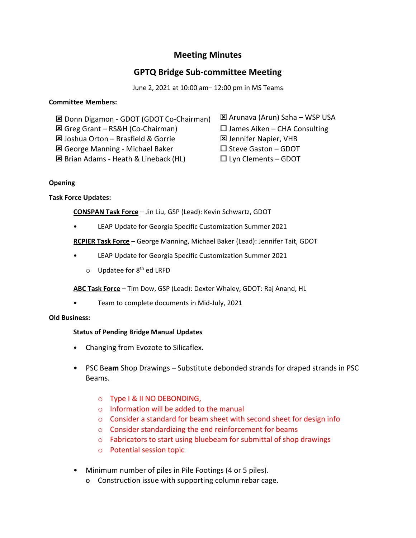## **Meeting Minutes**

# **GPTQ Bridge Sub-committee Meeting**

June 2, 2021 at 10:00 am– 12:00 pm in MS Teams

#### **Committee Members:**

**⊠ Donn Digamon - GDOT (GDOT Co-Chairman) E Arunava (Arun) Saha – WSP USA** 

 $\boxtimes$  Greg Grant – RS&H (Co-Chairman)  $\Box$  James Aiken – CHA Consulting

**E** Joshua Orton – Brasfield & Gorrie **DE** Jennifer Napier, VHB

 $\boxtimes$  George Manning - Michael Baker  $\square$  Steve Gaston – GDOT

**E** Brian Adams - Heath & Lineback (HL) □ Lyn Clements – GDOT

#### **Opening**

## **Task Force Updates:**

**CONSPAN Task Force** – Jin Liu, GSP (Lead): Kevin Schwartz, GDOT

• LEAP Update for Georgia Specific Customization Summer 2021

**RCPIER Task Force** – George Manning, Michael Baker (Lead): Jennifer Tait, GDOT

- LEAP Update for Georgia Specific Customization Summer 2021
	- $\circ$  Updatee for 8<sup>th</sup> ed LRFD

**ABC Task Force** – Tim Dow, GSP (Lead): Dexter Whaley, GDOT: Raj Anand, HL

• Team to complete documents in Mid-July, 2021

#### **Old Business:**

## **Status of Pending Bridge Manual Updates**

- Changing from Evozote to Silicaflex.
- PSC Be**am** Shop Drawings Substitute debonded strands for draped strands in PSC Beams.
	- o Type I & II NO DEBONDING,
	- o Information will be added to the manual
	- o Consider a standard for beam sheet with second sheet for design info
	- o Consider standardizing the end reinforcement for beams
	- o Fabricators to start using bluebeam for submittal of shop drawings
	- o Potential session topic
- Minimum number of piles in Pile Footings (4 or 5 piles).
	- o Construction issue with supporting column rebar cage.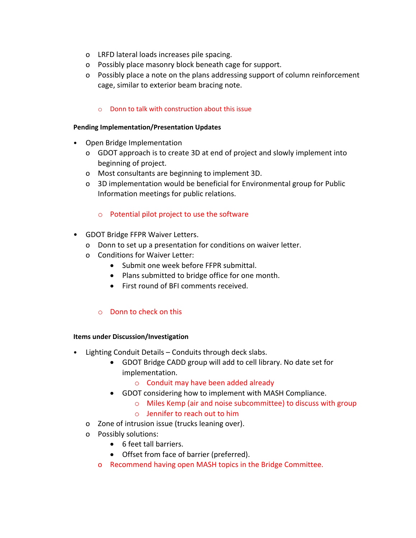- o LRFD lateral loads increases pile spacing.
- o Possibly place masonry block beneath cage for support.
- o Possibly place a note on the plans addressing support of column reinforcement cage, similar to exterior beam bracing note.

### o Donn to talk with construction about this issue

#### **Pending Implementation/Presentation Updates**

- Open Bridge Implementation
	- o GDOT approach is to create 3D at end of project and slowly implement into beginning of project.
	- o Most consultants are beginning to implement 3D.
	- o 3D implementation would be beneficial for Environmental group for Public Information meetings for public relations.

#### o Potential pilot project to use the software

- GDOT Bridge FFPR Waiver Letters.
	- o Donn to set up a presentation for conditions on waiver letter.
	- o Conditions for Waiver Letter:
		- Submit one week before FFPR submittal.
		- Plans submitted to bridge office for one month.
		- First round of BFI comments received.

### o Donn to check on this

#### **Items under Discussion/Investigation**

- Lighting Conduit Details Conduits through deck slabs.
	- GDOT Bridge CADD group will add to cell library. No date set for implementation.
		- o Conduit may have been added already
	- GDOT considering how to implement with MASH Compliance.
		- o Miles Kemp (air and noise subcommittee) to discuss with group
		- o Jennifer to reach out to him
	- o Zone of intrusion issue (trucks leaning over).
	- o Possibly solutions:
		- 6 feet tall barriers.
		- Offset from face of barrier (preferred).
		- o Recommend having open MASH topics in the Bridge Committee.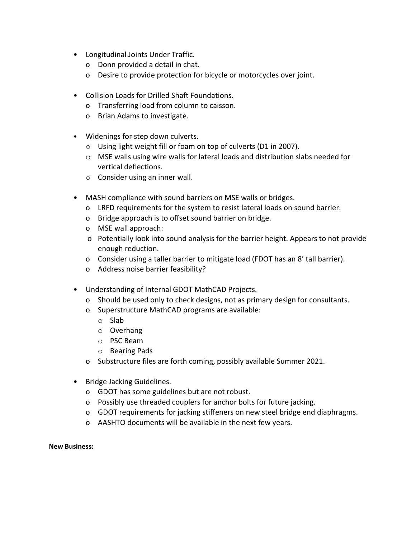- Longitudinal Joints Under Traffic.
	- o Donn provided a detail in chat.
	- o Desire to provide protection for bicycle or motorcycles over joint.
- Collision Loads for Drilled Shaft Foundations.
	- o Transferring load from column to caisson.
	- o Brian Adams to investigate.
- Widenings for step down culverts.
	- o Using light weight fill or foam on top of culverts (D1 in 2007).
	- o MSE walls using wire walls for lateral loads and distribution slabs needed for vertical deflections.
	- o Consider using an inner wall.
- MASH compliance with sound barriers on MSE walls or bridges.
	- o LRFD requirements for the system to resist lateral loads on sound barrier.
	- o Bridge approach is to offset sound barrier on bridge.
	- o MSE wall approach:
	- o Potentially look into sound analysis for the barrier height. Appears to not provide enough reduction.
	- o Consider using a taller barrier to mitigate load (FDOT has an 8' tall barrier).
	- o Address noise barrier feasibility?
- Understanding of Internal GDOT MathCAD Projects.
	- o Should be used only to check designs, not as primary design for consultants.
	- o Superstructure MathCAD programs are available:
		- o Slab
		- o Overhang
		- o PSC Beam
		- o Bearing Pads
	- o Substructure files are forth coming, possibly available Summer 2021.
- Bridge Jacking Guidelines.
	- o GDOT has some guidelines but are not robust.
	- o Possibly use threaded couplers for anchor bolts for future jacking.
	- o GDOT requirements for jacking stiffeners on new steel bridge end diaphragms.
	- o AASHTO documents will be available in the next few years.

#### **New Business:**